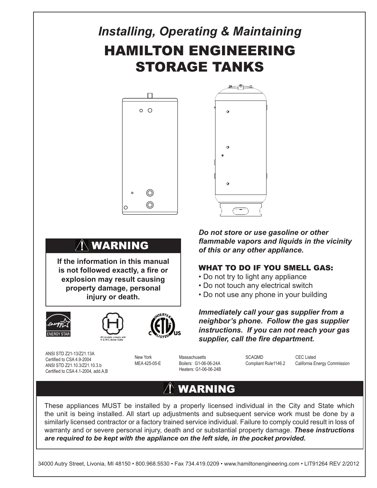# *Installing, Operating & Maintaining* HAMILTON ENGINEERING STORAGE TANKS





# WARNING

**If the information in this manual is not followed exactly, a fire or explosion may result causing property damage, personal injury or death.**







ANSI STD Z21-13/Z21.13A Certified to CSA 4.9-2004 ANSI STD Z21.10.3/Z21.10.3.b Certified to CSA 4.1-2004, add.A,B

Heaters: G1-06-06-24B

*Do not store or use gasoline or other flammable vapors and liquids in the vicinity of this or any other appliance.*

# WHAT TO DO IF YOU SMELL GAS:

- Do not try to light any appliance
- Do not touch any electrical switch
- Do not use any phone in your building

*Immediately call your gas supplier from a neighbor's phone. Follow the gas supplier instructions. If you can not reach your gas supplier, call the fire department.*

New York **Massachusetts** SCAQMD CEC Listed<br>MEA 425-05-E Boilers: G1-06-06-24A Compliant Rule1146.2 California Ei

Compliant Rule1146.2 California Energy Commission

# WARNING

These appliances MUST be installed by a properly licensed individual in the City and State which the unit is being installed. All start up adjustments and subsequent service work must be done by a similarly licensed contractor or a factory trained service individual. Failure to comply could result in loss of warranty and or severe personal injury, death and or substantial property damage. *These instructions are required to be kept with the appliance on the left side, in the pocket provided.*

34000 Autry Street, Livonia, MI 48150 • 800.968.5530 • Fax 734.419.0209 • www.hamiltonengineering.com • LIT91264 REV 2/2012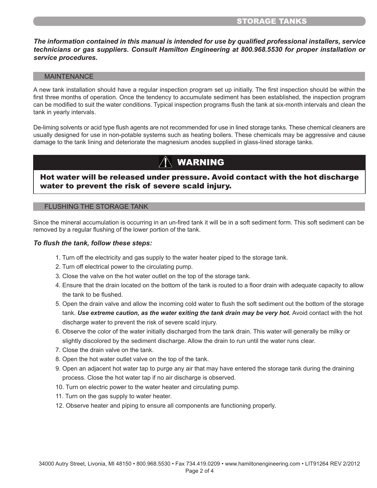### STORAGE TANKS

*The information contained in this manual is intended for use by qualified professional installers, service technicians or gas suppliers. Consult Hamilton Engineering at 800.968.5530 for proper installation or service procedures.*

#### MAINTENANCE

A new tank installation should have a regular inspection program set up initially. The first inspection should be within the first three months of operation. Once the tendency to accumulate sediment has been established, the inspection program can be modified to suit the water conditions. Typical inspection programs flush the tank at six-month intervals and clean the tank in yearly intervals.

De-liming solvents or acid type flush agents are not recommended for use in lined storage tanks. These chemical cleaners are usually designed for use in non-potable systems such as heating boilers. These chemicals may be aggressive and cause damage to the tank lining and deteriorate the magnesium anodes supplied in glass-lined storage tanks.

# WARNING

## Hot water will be released under pressure. Avoid contact with the hot discharge water to prevent the risk of severe scald injury.

#### FLUSHING THE STORAGE TANK

Since the mineral accumulation is occurring in an un-fired tank it will be in a soft sediment form. This soft sediment can be removed by a regular flushing of the lower portion of the tank.

#### *To flush the tank, follow these steps:*

- 1. Turn off the electricity and gas supply to the water heater piped to the storage tank.
- 2. Turn off electrical power to the circulating pump.
- 3. Close the valve on the hot water outlet on the top of the storage tank.
- 4. Ensure that the drain located on the bottom of the tank is routed to a floor drain with adequate capacity to allow the tank to be flushed.
- 5. Open the drain valve and allow the incoming cold water to flush the soft sediment out the bottom of the storage tank. Use extreme caution, as the water exiting the tank drain may be very hot. Avoid contact with the hot discharge water to prevent the risk of severe scald injury.
- 6. Observe the color of the water initially discharged from the tank drain. This water will generally be milky or slightly discolored by the sediment discharge. Allow the drain to run until the water runs clear.
- 7. Close the drain valve on the tank.
- 8. Open the hot water outlet valve on the top of the tank.
- 9. Open an adjacent hot water tap to purge any air that may have entered the storage tank during the draining process. Close the hot water tap if no air discharge is observed.
- 10. Turn on electric power to the water heater and circulating pump.
- 11. Turn on the gas supply to water heater.
- 12. Observe heater and piping to ensure all components are functioning properly.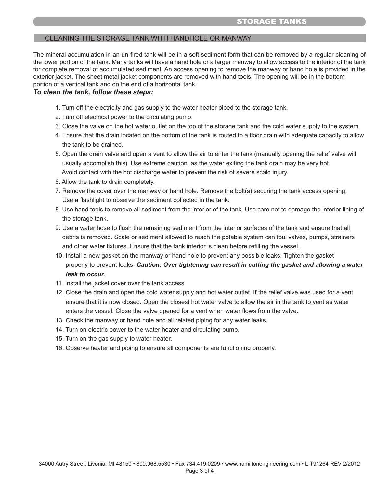# STORAGE TANKS

### CLEANING THE STORAGE TANK WITH HANDHOLE OR MANWAY

The mineral accumulation in an un-fired tank will be in a soft sediment form that can be removed by a regular cleaning of the lower portion of the tank. Many tanks will have a hand hole or a larger manway to allow access to the interior of the tank for complete removal of accumulated sediment. An access opening to remove the manway or hand hole is provided in the exterior jacket. The sheet metal jacket components are removed with hand tools. The opening will be in the bottom portion of a vertical tank and on the end of a horizontal tank.

#### *To clean the tank, follow these steps:*

- 1. Turn off the electricity and gas supply to the water heater piped to the storage tank.
- 2. Turn off electrical power to the circulating pump.
- 3. Close the valve on the hot water outlet on the top of the storage tank and the cold water supply to the system.
- 4. Ensure that the drain located on the bottom of the tank is routed to a floor drain with adequate capacity to allow the tank to be drained.
- 5. Open the drain valve and open a vent to allow the air to enter the tank (manually opening the relief valve will usually accomplish this). Use extreme caution, as the water exiting the tank drain may be very hot. Avoid contact with the hot discharge water to prevent the risk of severe scald injury.
- 6. Allow the tank to drain completely.
- 7. Remove the cover over the manway or hand hole. Remove the bolt(s) securing the tank access opening. Use a flashlight to observe the sediment collected in the tank.
- 8. Use hand tools to remove all sediment from the interior of the tank. Use care not to damage the interior lining of the storage tank.
- 9. Use a water hose to flush the remaining sediment from the interior surfaces of the tank and ensure that all debris is removed. Scale or sediment allowed to reach the potable system can foul valves, pumps, strainers and other water fixtures. Ensure that the tank interior is clean before refilling the vessel.
- 10. Install a new gasket on the manway or hand hole to prevent any possible leaks. Tighten the gasket properly to prevent leaks. *Caution: Over tightening can result in cutting the gasket and allowing a water leak to occur.*
- 11. Install the jacket cover over the tank access.
- 12. Close the drain and open the cold water supply and hot water outlet. If the relief valve was used for a vent ensure that it is now closed. Open the closest hot water valve to allow the air in the tank to vent as water enters the vessel. Close the valve opened for a vent when water flows from the valve.
- 13. Check the manway or hand hole and all related piping for any water leaks.
- 14. Turn on electric power to the water heater and circulating pump.
- 15. Turn on the gas supply to water heater.
- 16. Observe heater and piping to ensure all components are functioning properly.